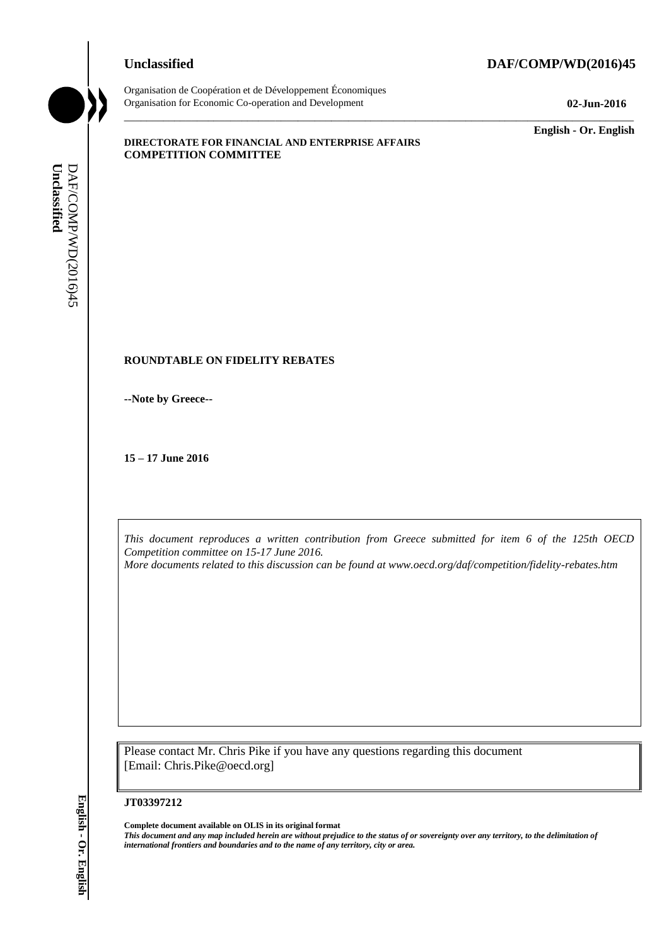## **Unclassified DAF/COMP/WD(2016)45**



Organisation de Coopération et de Développement Économiques Organisation for Economic Co-operation and Development **02-Jun-2016**

\_\_\_\_\_\_\_\_\_\_\_\_\_ **English - Or. English**

#### **DIRECTORATE FOR FINANCIAL AND ENTERPRISE AFFAIRS COMPETITION COMMITTEE**

## **ROUNDTABLE ON FIDELITY REBATES**

**--Note by Greece--**

**15 – 17 June 2016**

*This document reproduces a written contribution from Greece submitted for item 6 of the 125th OECD Competition committee on 15-17 June 2016.*

\_\_\_\_\_\_\_\_\_\_\_\_\_\_\_\_\_\_\_\_\_\_\_\_\_\_\_\_\_\_\_\_\_\_\_\_\_\_\_\_\_\_\_\_\_\_\_\_\_\_\_\_\_\_\_\_\_\_\_\_\_\_\_\_\_\_\_\_\_\_\_\_\_\_\_\_\_\_\_\_\_\_\_\_\_\_\_\_\_\_\_

*More documents related to this discussion can be found at www.oecd.org/daf/competition/fidelity-rebates.htm*

Please contact Mr. Chris Pike if you have any questions regarding this document [Email: Chris.Pike@oecd.org]

#### **JT03397212**

**Complete document available on OLIS in its original format** *This document and any map included herein are without prejudice to the status of or sovereignty over any territory, to the delimitation of*  **iii** *international formula from the name of any territory or area.* **If**  $\frac{1}{2}$  **English Connective and to the name of any territory of any territory of any territory of any territory of any territory of any term of t**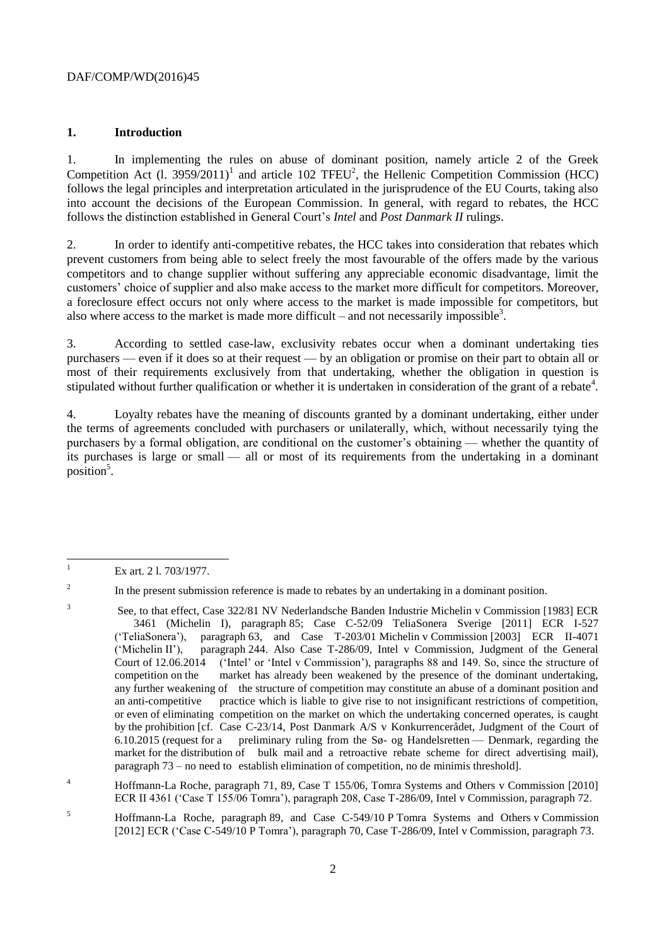## **1. Introduction**

1. In implementing the rules on abuse of dominant position, namely article 2 of the Greek Competition Act  $(1. 3959/2011)^1$  and article 102 TFEU<sup>2</sup>, the Hellenic Competition Commission (HCC) follows the legal principles and interpretation articulated in the jurisprudence of the EU Courts, taking also into account the decisions of the European Commission. In general, with regard to rebates, the HCC follows the distinction established in General Court's *Intel* and *Post Danmark II* rulings.

2. In order to identify anti-competitive rebates, the HCC takes into consideration that rebates which prevent customers from being able to select freely the most favourable of the offers made by the various competitors and to change supplier without suffering any appreciable economic disadvantage, limit the customers' choice of supplier and also make access to the market more difficult for competitors. Moreover, a foreclosure effect occurs not only where access to the market is made impossible for competitors, but also where access to the market is made more difficult – and not necessarily impossible<sup>3</sup>.

3. According to settled case-law, exclusivity rebates occur when a dominant undertaking ties purchasers — even if it does so at their request — by an obligation or promise on their part to obtain all or most of their requirements exclusively from that undertaking, whether the obligation in question is stipulated without further qualification or whether it is undertaken in consideration of the grant of a rebate<sup>4</sup>.

4. Loyalty rebates have the meaning of discounts granted by a dominant undertaking, either under the terms of agreements concluded with purchasers or unilaterally, which, without necessarily tying the purchasers by a formal obligation, are conditional on the customer's obtaining — whether the quantity of its purchases is large or small — all or most of its requirements from the undertaking in a dominant position<sup>5</sup>.

2

3

In the present submission reference is made to rebates by an undertaking in a dominant position.

 $\bar{1}$ Ex art. 2 l. 703/1977.

See, to that effect, Case 322/81 NV Nederlandsche Banden Industrie Michelin v Commission [1983] ECR 3461 (Michelin I), paragraph 85; Case C-52/09 TeliaSonera Sverige [2011] ECR I-527 ('TeliaSonera'), paragraph 63, and Case T-203/01 Michelin v Commission [2003] ECR II-4071 ('Michelin II'), paragraph 244. Also Case T-286/09, Intel v Commission, Judgment of the General Court of 12.06.2014 ('Intel' or 'Intel v Commission'), paragraphs 88 and 149. So, since the structure of competition on the market has already been weakened by the presence of the dominant undertaking, any further weakening of the structure of competition may constitute an abuse of a dominant position and an anti-competitive practice which is liable to give rise to not insignificant restrictions of competition, or even of eliminating competition on the market on which the undertaking concerned operates, is caught by the prohibition [cf. Case C-23/14, Post Danmark A/S v Konkurrencerådet, Judgment of the Court of 6.10.2015 (request for a preliminary ruling from the Sø- og Handelsretten — Denmark, regarding the market for the distribution of bulk mail and a retroactive rebate scheme for direct advertising mail), paragraph 73 – no need to establish elimination of competition, no de minimis threshold].

<sup>4</sup> Hoffmann-La Roche, paragraph 71, 89, Case T 155/06, Tomra Systems and Others v Commission [2010] ECR II 4361 ('Case T 155/06 Tomra'), paragraph 208, Case T-286/09, Intel v Commission, paragraph 72.

<sup>5</sup> Hoffmann-La Roche, paragraph 89, and Case C-549/10 P Tomra Systems and Others v Commission [2012] ECR ('Case C-549/10 P Tomra'), paragraph 70, Case T-286/09, Intel v Commission, paragraph 73.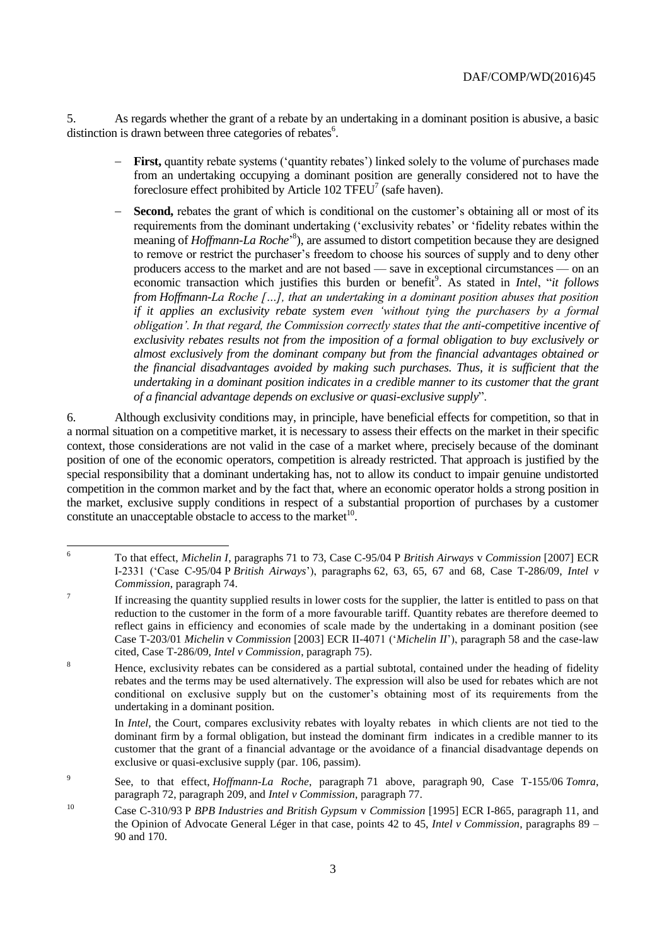5. As regards whether the grant of a rebate by an undertaking in a dominant position is abusive, a basic distinction is drawn between three categories of rebates<sup>6</sup>.

- **First,** quantity rebate systems ('quantity rebates') linked solely to the volume of purchases made from an undertaking occupying a dominant position are generally considered not to have the foreclosure effect prohibited by Article 102 TFEU<sup>7</sup> (safe haven).
- **Second,** rebates the grant of which is conditional on the customer's obtaining all or most of its requirements from the dominant undertaking ('exclusivity rebates' or 'fidelity rebates within the meaning of *Hoffmann-La Roche*<sup>3</sup>, are assumed to distort competition because they are designed to remove or restrict the purchaser's freedom to choose his sources of supply and to deny other producers access to the market and are not based — save in exceptional circumstances — on an economic transaction which justifies this burden or benefit<sup>9</sup>. As stated in *Intel*, "*it follows from Hoffmann-La Roche […], that an undertaking in a dominant position abuses that position if it applies an exclusivity rebate system even 'without tying the purchasers by a formal obligation'. In that regard, the Commission correctly states that the anti-competitive incentive of exclusivity rebates results not from the imposition of a formal obligation to buy exclusively or almost exclusively from the dominant company but from the financial advantages obtained or the financial disadvantages avoided by making such purchases. Thus, it is sufficient that the undertaking in a dominant position indicates in a credible manner to its customer that the grant of a financial advantage depends on exclusive or quasi-exclusive supply*".

6. Although exclusivity conditions may, in principle, have beneficial effects for competition, so that in a normal situation on a competitive market, it is necessary to assess their effects on the market in their specific context, those considerations are not valid in the case of a market where, precisely because of the dominant position of one of the economic operators, competition is already restricted. That approach is justified by the special responsibility that a dominant undertaking has, not to allow its conduct to impair genuine undistorted competition in the common market and by the fact that, where an economic operator holds a strong position in the market, exclusive supply conditions in respect of a substantial proportion of purchases by a customer constitute an unacceptable obstacle to access to the market $10$ .

 $\sqrt{6}$ <sup>6</sup> To that effect, *Michelin I*, paragraphs 71 to 73, Case C-95/04 P *British Airways* v *Commission* [2007] ECR I-2331 ('Case C-95/04 P *British Airways*'), paragraphs 62, 63, 65, 67 and 68, Case T-286/09, *Intel v Commission*, paragraph 74.

<sup>7</sup> If increasing the quantity supplied results in lower costs for the supplier, the latter is entitled to pass on that reduction to the customer in the form of a more favourable tariff. Quantity rebates are therefore deemed to reflect gains in efficiency and economies of scale made by the undertaking in a dominant position (see Case T-203/01 *Michelin* v *Commission* [2003] ECR II-4071 ('*Michelin II*'), paragraph 58 and the case-law cited, Case T-286/09, *Intel v Commission*, paragraph 75).

<sup>&</sup>lt;sup>8</sup> Hence, exclusivity rebates can be considered as a partial subtotal, contained under the heading of fidelity rebates and the terms may be used alternatively. The expression will also be used for rebates which are not conditional on exclusive supply but on the customer's obtaining most of its requirements from the undertaking in a dominant position.

In *Intel*, the Court, compares exclusivity rebates with loyalty rebates in which clients are not tied to the dominant firm by a formal obligation, but instead the dominant firm indicates in a credible manner to its customer that the grant of a financial advantage or the avoidance of a financial disadvantage depends on exclusive or quasi-exclusive supply (par. 106, passim).

<sup>9</sup> See, to that effect, *Hoffmann-La Roche*, paragraph 71 above, paragraph 90, Case T-155/06 *Tomra*, paragraph 72, paragraph 209, and *Intel v Commission*, paragraph 77.

<sup>10</sup> Case C-310/93 P *BPB Industries and British Gypsum* v *Commission* [1995] ECR I-865, paragraph 11, and the Opinion of Advocate General Léger in that case, points 42 to 45, *Intel v Commission*, paragraphs 89 – 90 and 170.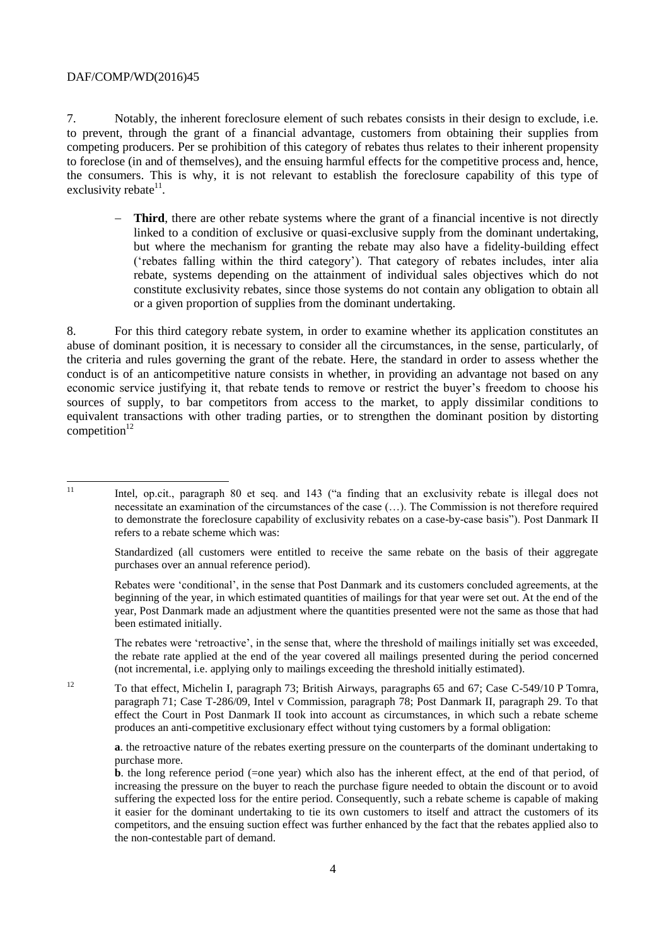7. Notably, the inherent foreclosure element of such rebates consists in their design to exclude, i.e. to prevent, through the grant of a financial advantage, customers from obtaining their supplies from competing producers. Per se prohibition of this category of rebates thus relates to their inherent propensity to foreclose (in and of themselves), and the ensuing harmful effects for the competitive process and, hence, the consumers. This is why, it is not relevant to establish the foreclosure capability of this type of exclusivity rebate $11$ .

 **Third**, there are other rebate systems where the grant of a financial incentive is not directly linked to a condition of exclusive or quasi-exclusive supply from the dominant undertaking, but where the mechanism for granting the rebate may also have a fidelity-building effect ('rebates falling within the third category'). That category of rebates includes, inter alia rebate, systems depending on the attainment of individual sales objectives which do not constitute exclusivity rebates, since those systems do not contain any obligation to obtain all or a given proportion of supplies from the dominant undertaking.

8. For this third category rebate system, in order to examine whether its application constitutes an abuse of dominant position, it is necessary to consider all the circumstances, in the sense, particularly, of the criteria and rules governing the grant of the rebate. Here, the standard in order to assess whether the conduct is of an anticompetitive nature consists in whether, in providing an advantage not based on any economic service justifying it, that rebate tends to remove or restrict the buyer's freedom to choose his sources of supply, to bar competitors from access to the market, to apply dissimilar conditions to equivalent transactions with other trading parties, or to strengthen the dominant position by distorting  $component$ <sub>12</sub>

The rebates were 'retroactive', in the sense that, where the threshold of mailings initially set was exceeded, the rebate rate applied at the end of the year covered all mailings presented during the period concerned (not incremental, i.e. applying only to mailings exceeding the threshold initially estimated).

<sup>12</sup> To that effect, Michelin I, paragraph 73; British Airways, paragraphs 65 and 67; Case C-549/10 P Tomra, paragraph 71; Case T-286/09, Intel v Commission, paragraph 78; Post Danmark II, paragraph 29. To that effect the Court in Post Danmark II took into account as circumstances, in which such a rebate scheme produces an anti-competitive exclusionary effect without tying customers by a formal obligation:

**a**. the retroactive nature of the rebates exerting pressure on the counterparts of the dominant undertaking to purchase more.

 $\overline{11}$ 

<sup>11</sup> Intel, op.cit., paragraph 80 et seq. and 143 ("a finding that an exclusivity rebate is illegal does not necessitate an examination of the circumstances of the case (…). The Commission is not therefore required to demonstrate the foreclosure capability of exclusivity rebates on a case-by-case basis"). Post Danmark II refers to a rebate scheme which was:

Standardized (all customers were entitled to receive the same rebate on the basis of their aggregate purchases over an annual reference period).

Rebates were 'conditional', in the sense that Post Danmark and its customers concluded agreements, at the beginning of the year, in which estimated quantities of mailings for that year were set out. At the end of the year, Post Danmark made an adjustment where the quantities presented were not the same as those that had been estimated initially.

**b**. the long reference period (=one year) which also has the inherent effect, at the end of that period, of increasing the pressure on the buyer to reach the purchase figure needed to obtain the discount or to avoid suffering the expected loss for the entire period. Consequently, such a rebate scheme is capable of making it easier for the dominant undertaking to tie its own customers to itself and attract the customers of its competitors, and the ensuing suction effect was further enhanced by the fact that the rebates applied also to the non-contestable part of demand.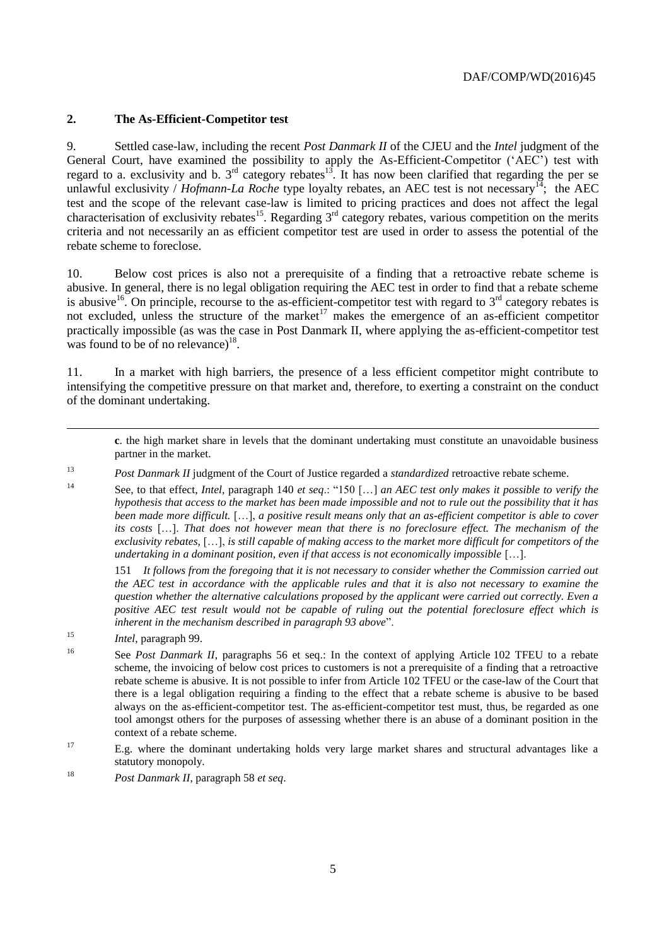#### **2. The As-Efficient-Competitor test**

9. Settled case-law, including the recent *Post Danmark II* of the CJEU and the *Intel* judgment of the General Court, have examined the possibility to apply the As-Efficient-Competitor ('AEC') test with regard to a. exclusivity and b.  $3<sup>rd</sup>$  category rebates<sup>13</sup>. It has now been clarified that regarding the per se unlawful exclusivity / *Hofmann-La Roche* type loyalty rebates, an AEC test is not necessary<sup>14</sup>; the AEC test and the scope of the relevant case-law is limited to pricing practices and does not affect the legal characterisation of exclusivity rebates<sup>15</sup>. Regarding  $3<sup>rd</sup>$  category rebates, various competition on the merits criteria and not necessarily an as efficient competitor test are used in order to assess the potential of the rebate scheme to foreclose.

10. Below cost prices is also not a prerequisite of a finding that a retroactive rebate scheme is abusive. In general, there is no legal obligation requiring the AEC test in order to find that a rebate scheme is abusive<sup>16</sup>. On principle, recourse to the as-efficient-competitor test with regard to  $3<sup>rd</sup>$  category rebates is not excluded, unless the structure of the market<sup>17</sup> makes the emergence of an as-efficient competitor practically impossible (as was the case in Post Danmark II, where applying the as-efficient-competitor test was found to be of no relevance) $^{18}$ .

11. In a market with high barriers, the presence of a less efficient competitor might contribute to intensifying the competitive pressure on that market and, therefore, to exerting a constraint on the conduct of the dominant undertaking.

**c**. the high market share in levels that the dominant undertaking must constitute an unavoidable business partner in the market.

<sup>14</sup> See, to that effect, *Intel*, paragraph 140 *et seq*.: "150 […] *an AEC test only makes it possible to verify the hypothesis that access to the market has been made impossible and not to rule out the possibility that it has been made more difficult.* […], *a positive result means only that an as-efficient competitor is able to cover its costs* […]. *That does not however mean that there is no foreclosure effect. The mechanism of the exclusivity rebates,* […], *is still capable of making access to the market more difficult for competitors of the undertaking in a dominant position, even if that access is not economically impossible* […].

151 *It follows from the foregoing that it is not necessary to consider whether the Commission carried out the AEC test in accordance with the applicable rules and that it is also not necessary to examine the question whether the alternative calculations proposed by the applicant were carried out correctly. Even a positive AEC test result would not be capable of ruling out the potential foreclosure effect which is inherent in the mechanism described in paragraph 93 above*".

<sup>15</sup> *Intel*, paragraph 99.

 $\overline{a}$ 

<sup>16</sup> See *Post Danmark II*, paragraphs 56 et seq.: In the context of applying Article 102 TFEU to a rebate scheme, the invoicing of below cost prices to customers is not a prerequisite of a finding that a retroactive rebate scheme is abusive. It is not possible to infer from Article 102 TFEU or the case-law of the Court that there is a legal obligation requiring a finding to the effect that a rebate scheme is abusive to be based always on the as-efficient-competitor test. The as-efficient-competitor test must, thus, be regarded as one tool amongst others for the purposes of assessing whether there is an abuse of a dominant position in the context of a rebate scheme.

<sup>17</sup> E.g. where the dominant undertaking holds very large market shares and structural advantages like a statutory monopoly.

<sup>18</sup> *Post Danmark II*, paragraph 58 *et seq*.

<sup>13</sup> *Post Danmark II* judgment of the Court of Justice regarded a *standardized* retroactive rebate scheme.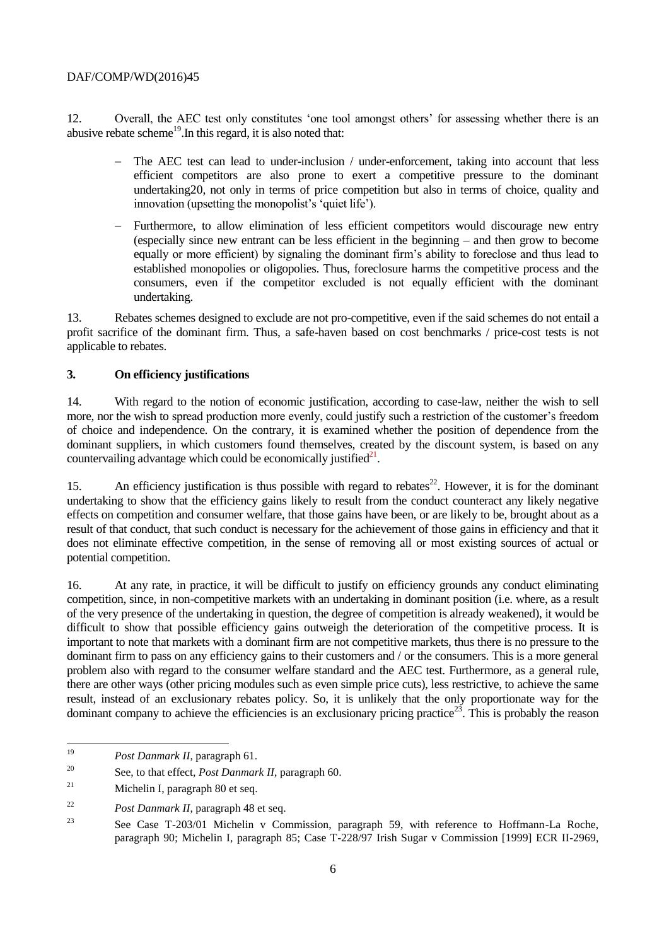12. Overall, the AEC test only constitutes 'one tool amongst others' for assessing whether there is an abusive rebate scheme<sup>19</sup>. In this regard, it is also noted that:

- The AEC test can lead to under-inclusion / under-enforcement, taking into account that less efficient competitors are also prone to exert a competitive pressure to the dominant undertaking20, not only in terms of price competition but also in terms of choice, quality and innovation (upsetting the monopolist's 'quiet life').
- Furthermore, to allow elimination of less efficient competitors would discourage new entry (especially since new entrant can be less efficient in the beginning – and then grow to become equally or more efficient) by signaling the dominant firm's ability to foreclose and thus lead to established monopolies or oligopolies. Thus, foreclosure harms the competitive process and the consumers, even if the competitor excluded is not equally efficient with the dominant undertaking.

13. Rebates schemes designed to exclude are not pro-competitive, even if the said schemes do not entail a profit sacrifice of the dominant firm. Thus, a safe-haven based on cost benchmarks / price-cost tests is not applicable to rebates.

## **3. On efficiency justifications**

14. With regard to the notion of economic justification, according to case-law, neither the wish to sell more, nor the wish to spread production more evenly, could justify such a restriction of the customer's freedom of choice and independence*.* On the contrary, it is examined whether the position of dependence from the dominant suppliers, in which customers found themselves, created by the discount system, is based on any countervailing advantage which could be economically justified $21$ .

15. An efficiency justification is thus possible with regard to rebates<sup>22</sup>. However, it is for the dominant undertaking to show that the efficiency gains likely to result from the conduct counteract any likely negative effects on competition and consumer welfare, that those gains have been, or are likely to be, brought about as a result of that conduct, that such conduct is necessary for the achievement of those gains in efficiency and that it does not eliminate effective competition, in the sense of removing all or most existing sources of actual or potential competition.

16. At any rate, in practice, it will be difficult to justify on efficiency grounds any conduct eliminating competition, since, in non-competitive markets with an undertaking in dominant position (i.e. where, as a result of the very presence of the undertaking in question, the degree of competition is already weakened), it would be difficult to show that possible efficiency gains outweigh the deterioration of the competitive process. It is important to note that markets with a dominant firm are not competitive markets, thus there is no pressure to the dominant firm to pass on any efficiency gains to their customers and / or the consumers. This is a more general problem also with regard to the consumer welfare standard and the AEC test. Furthermore, as a general rule, there are other ways (other pricing modules such as even simple price cuts), less restrictive, to achieve the same result, instead of an exclusionary rebates policy. So, it is unlikely that the only proportionate way for the dominant company to achieve the efficiencies is an exclusionary pricing practice<sup>23</sup>. This is probably the reason

 $19$ <sup>19</sup> *Post Danmark II*, paragraph 61.

<sup>20</sup> See, to that effect, *Post Danmark II*, paragraph 60.

<sup>&</sup>lt;sup>21</sup> Michelin I, paragraph 80 et seq.

<sup>22</sup> *Post Danmark II*, paragraph 48 et seq.

<sup>&</sup>lt;sup>23</sup> See Case T-203/01 Michelin v Commission, paragraph 59, with reference to Hoffmann-La Roche, paragraph 90; Michelin I, paragraph 85; Case T-228/97 Irish Sugar v Commission [1999] ECR II-2969,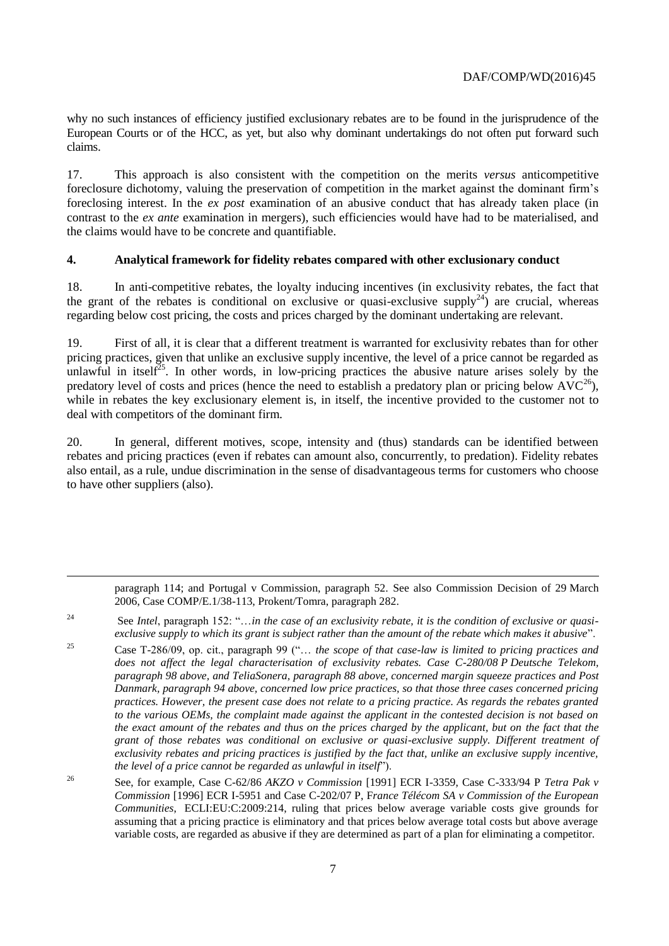why no such instances of efficiency justified exclusionary rebates are to be found in the jurisprudence of the European Courts or of the HCC, as yet, but also why dominant undertakings do not often put forward such claims.

17. This approach is also consistent with the competition on the merits *versus* anticompetitive foreclosure dichotomy, valuing the preservation of competition in the market against the dominant firm's foreclosing interest. In the *ex post* examination of an abusive conduct that has already taken place (in contrast to the *ex ante* examination in mergers), such efficiencies would have had to be materialised, and the claims would have to be concrete and quantifiable.

#### **4. Analytical framework for fidelity rebates compared with other exclusionary conduct**

18. In anti-competitive rebates, the loyalty inducing incentives (in exclusivity rebates, the fact that the grant of the rebates is conditional on exclusive or quasi-exclusive supply<sup>24</sup>) are crucial, whereas regarding below cost pricing, the costs and prices charged by the dominant undertaking are relevant.

19. First of all, it is clear that a different treatment is warranted for exclusivity rebates than for other pricing practices, given that unlike an exclusive supply incentive, the level of a price cannot be regarded as unlawful in itself<sup> $25$ </sup>. In other words, in low-pricing practices the abusive nature arises solely by the predatory level of costs and prices (hence the need to establish a predatory plan or pricing below  $AVC^{26}$ ), while in rebates the key exclusionary element is, in itself, the incentive provided to the customer not to deal with competitors of the dominant firm.

20. In general, different motives, scope, intensity and (thus) standards can be identified between rebates and pricing practices (even if rebates can amount also, concurrently, to predation). Fidelity rebates also entail, as a rule, undue discrimination in the sense of disadvantageous terms for customers who choose to have other suppliers (also).

paragraph 114; and Portugal v Commission, paragraph 52. See also Commission Decision of 29 March 2006, Case COMP/E.1/38-113, Prokent/Tomra, paragraph 282.

<sup>24</sup> See *Intel*, paragraph 152: "…*in the case of an exclusivity rebate, it is the condition of exclusive or quasiexclusive supply to which its grant is subject rather than the amount of the rebate which makes it abusive*".

l

<sup>25</sup> Case T-286/09, op. cit., paragraph 99 ("… *the scope of that case-law is limited to pricing practices and does not affect the legal characterisation of exclusivity rebates. Case C-280/08 P Deutsche Telekom, paragraph 98 above, and TeliaSonera, paragraph 88 above, concerned margin squeeze practices and Post Danmark, paragraph 94 above, concerned low price practices, so that those three cases concerned pricing practices. However, the present case does not relate to a pricing practice. As regards the rebates granted to the various OEMs, the complaint made against the applicant in the contested decision is not based on the exact amount of the rebates and thus on the prices charged by the applicant, but on the fact that the grant of those rebates was conditional on exclusive or quasi-exclusive supply. Different treatment of exclusivity rebates and pricing practices is justified by the fact that, unlike an exclusive supply incentive, the level of a price cannot be regarded as unlawful in itself*").

<sup>26</sup> See, for example, Case C-62/86 *AKZO v Commission* [1991] ECR I-3359, Case C-333/94 P *Tetra Pak v Commission* [1996] ECR I-5951 and Case C-202/07 P, F*rance Télécom SA v Commission of the European Communities*, ECLI:EU:C:2009:214, ruling that prices below average variable costs give grounds for assuming that a pricing practice is eliminatory and that prices below average total costs but above average variable costs, are regarded as abusive if they are determined as part of a plan for eliminating a competitor.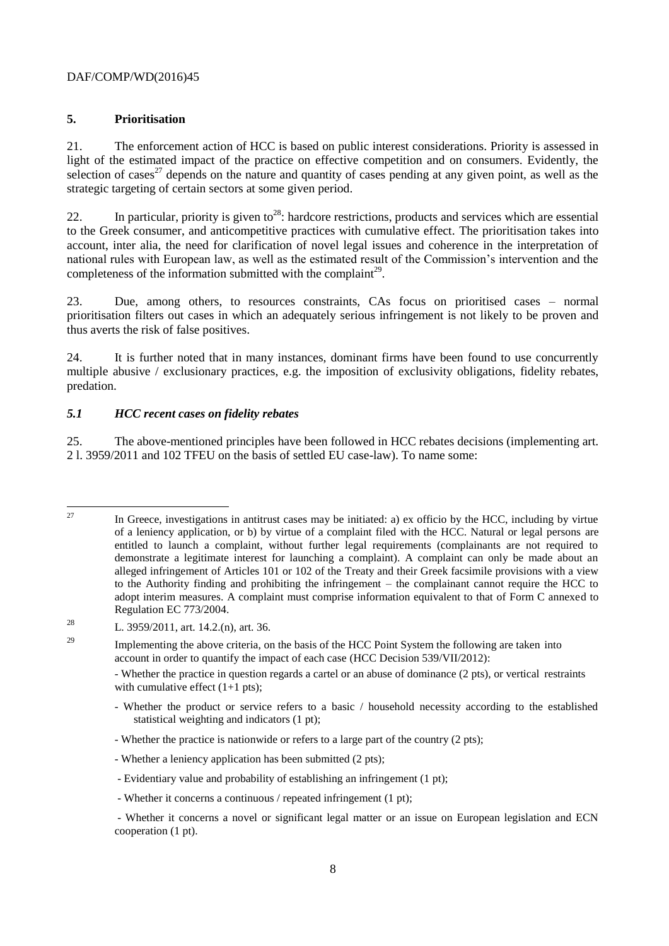## **5. Prioritisation**

21. The enforcement action of HCC is based on public interest considerations. Priority is assessed in light of the estimated impact of the practice on effective competition and on consumers. Evidently, the selection of cases<sup>27</sup> depends on the nature and quantity of cases pending at any given point, as well as the strategic targeting of certain sectors at some given period.

22. In particular, priority is given to<sup>28</sup>: hardcore restrictions, products and services which are essential to the Greek consumer, and anticompetitive practices with cumulative effect. The prioritisation takes into account, inter alia, the need for clarification of novel legal issues and coherence in the interpretation of national rules with European law, as well as the estimated result of the Commission's intervention and the completeness of the information submitted with the complaint $^{29}$ .

23. Due, among others, to resources constraints, CAs focus on prioritised cases – normal prioritisation filters out cases in which an adequately serious infringement is not likely to be proven and thus averts the risk of false positives.

24. It is further noted that in many instances, dominant firms have been found to use concurrently multiple abusive / exclusionary practices, e.g. the imposition of exclusivity obligations, fidelity rebates, predation.

## *5.1 HCC recent cases on fidelity rebates*

25. The above-mentioned principles have been followed in HCC rebates decisions (implementing art. 2 l. 3959/2011 and 102 TFEU on the basis of settled EU case-law). To name some:

 $27$ In Greece, investigations in antitrust cases may be initiated: a) ex officio by the HCC, including by virtue of a leniency application, or b) by virtue of a complaint filed with the HCC. Natural or legal persons are entitled to launch a complaint, without further legal requirements (complainants are not required to demonstrate a legitimate interest for launching a complaint). A complaint can only be made about an alleged infringement of Articles 101 or 102 of the Treaty and their Greek facsimile provisions with a view to the Authority finding and prohibiting the infringement – the complainant cannot require the HCC to adopt interim measures. A complaint must comprise information equivalent to that of Form C annexed to Regulation EC 773/2004.

<sup>&</sup>lt;sup>28</sup> L. 3959/2011, art. 14.2.(n), art. 36.

<sup>&</sup>lt;sup>29</sup> Implementing the above criteria, on the basis of the HCC Point System the following are taken into account in order to quantify the impact of each case (HCC Decision 539/VII/2012):

<sup>-</sup> Whether the practice in question regards a cartel or an abuse of dominance (2 pts), or vertical restraints with cumulative effect  $(1+1$  pts);

<sup>-</sup> Whether the product or service refers to a basic / household necessity according to the established statistical weighting and indicators (1 pt);

<sup>-</sup> Whether the practice is nationwide or refers to a large part of the country (2 pts);

<sup>-</sup> Whether a leniency application has been submitted (2 pts);

<sup>-</sup> Evidentiary value and probability of establishing an infringement (1 pt);

<sup>-</sup> Whether it concerns a continuous / repeated infringement (1 pt);

<sup>-</sup> Whether it concerns a novel or significant legal matter or an issue on European legislation and ECN cooperation (1 pt).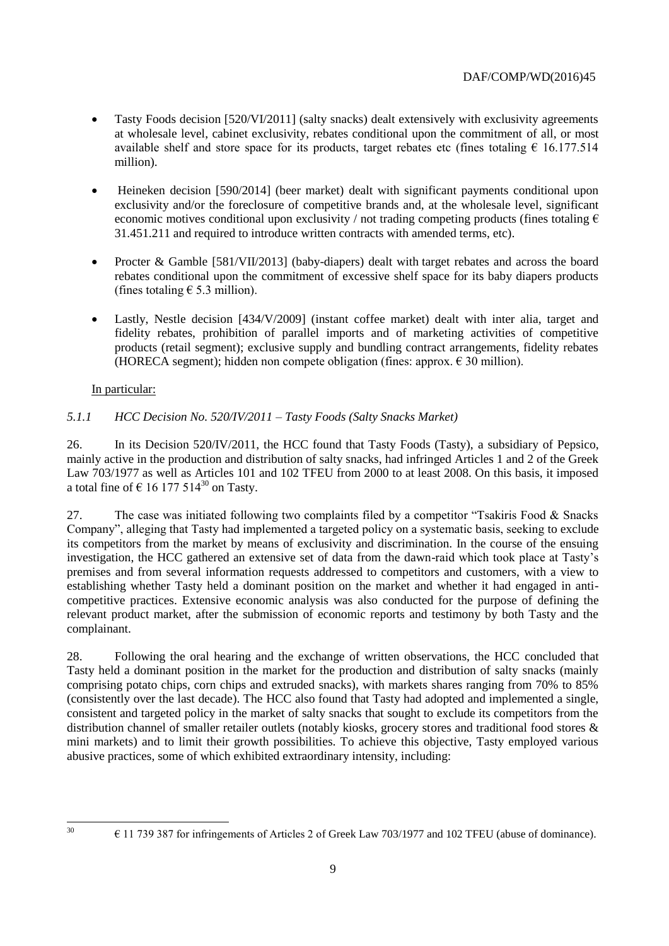- Tasty Foods decision [520/VI/2011] (salty snacks) dealt extensively with exclusivity agreements at wholesale level, cabinet exclusivity, rebates conditional upon the commitment of all, or most available shelf and store space for its products, target rebates etc (fines totaling  $\epsilon$  16.177.514 million).
- Heineken decision [590/2014] (beer market) dealt with significant payments conditional upon exclusivity and/or the foreclosure of competitive brands and, at the wholesale level, significant economic motives conditional upon exclusivity / not trading competing products (fines totaling  $\epsilon$ ) 31.451.211 and required to introduce written contracts with amended terms, etc).
- Procter & Gamble [581/VII/2013] (baby-diapers) dealt with target rebates and across the board rebates conditional upon the commitment of excessive shelf space for its baby diapers products (fines totaling  $\epsilon$  5.3 million).
- Lastly, Nestle decision [434/V/2009] (instant coffee market) dealt with inter alia, target and fidelity rebates, prohibition of parallel imports and of marketing activities of competitive products (retail segment); exclusive supply and bundling contract arrangements, fidelity rebates (HORECA segment); hidden non compete obligation (fines: approx.  $\epsilon$  30 million).

# In particular:

# *5.1.1 HCC Decision No. 520/IV/2011 – Tasty Foods (Salty Snacks Market)*

26. In its Decision 520/IV/2011, the HCC found that Tasty Foods (Tasty), a subsidiary of Pepsico, mainly active in the production and distribution of salty snacks, had infringed Articles 1 and 2 of the Greek Law 703/1977 as well as Articles 101 and 102 TFEU from 2000 to at least 2008. On this basis, it imposed a total fine of  $\epsilon$  16 177 514<sup>30</sup> on Tasty.

27. The case was initiated following two complaints filed by a competitor "Tsakiris Food & Snacks Company", alleging that Tasty had implemented a targeted policy on a systematic basis, seeking to exclude its competitors from the market by means of exclusivity and discrimination. In the course of the ensuing investigation, the HCC gathered an extensive set of data from the dawn-raid which took place at Tasty's premises and from several information requests addressed to competitors and customers, with a view to establishing whether Tasty held a dominant position on the market and whether it had engaged in anticompetitive practices. Extensive economic analysis was also conducted for the purpose of defining the relevant product market, after the submission of economic reports and testimony by both Tasty and the complainant.

28. Following the oral hearing and the exchange of written observations, the HCC concluded that Tasty held a dominant position in the market for the production and distribution of salty snacks (mainly comprising potato chips, corn chips and extruded snacks), with markets shares ranging from 70% to 85% (consistently over the last decade). The HCC also found that Tasty had adopted and implemented a single, consistent and targeted policy in the market of salty snacks that sought to exclude its competitors from the distribution channel of smaller retailer outlets (notably kiosks, grocery stores and traditional food stores & mini markets) and to limit their growth possibilities. To achieve this objective, Tasty employed various abusive practices, some of which exhibited extraordinary intensity, including:

 $30$ 

 $\epsilon$  11 739 387 for infringements of Articles 2 of Greek Law 703/1977 and 102 TFEU (abuse of dominance).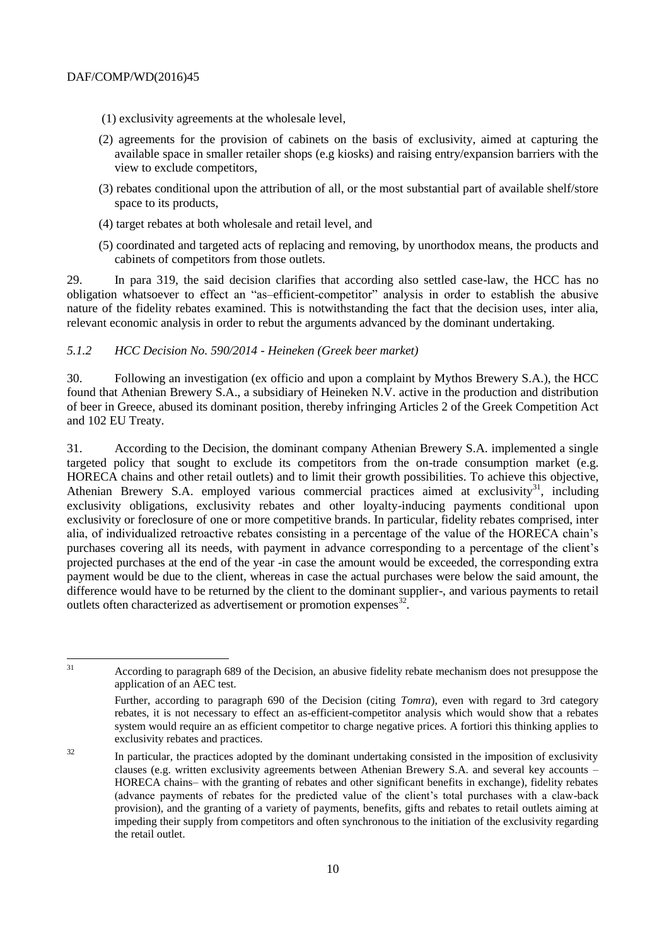- (1) exclusivity agreements at the wholesale level,
- (2) agreements for the provision of cabinets on the basis of exclusivity, aimed at capturing the available space in smaller retailer shops (e.g kiosks) and raising entry/expansion barriers with the view to exclude competitors,
- (3) rebates conditional upon the attribution of all, or the most substantial part of available shelf/store space to its products,
- (4) target rebates at both wholesale and retail level, and
- (5) coordinated and targeted acts of replacing and removing, by unorthodox means, the products and cabinets of competitors from those outlets.

29. In para 319, the said decision clarifies that according also settled case-law, the HCC has no obligation whatsoever to effect an "as–efficient-competitor" analysis in order to establish the abusive nature of the fidelity rebates examined. This is notwithstanding the fact that the decision uses, inter alia, relevant economic analysis in order to rebut the arguments advanced by the dominant undertaking.

#### *5.1.2 HCC Decision No. 590/2014 - Heineken (Greek beer market)*

30. Following an investigation (ex officio and upon a complaint by Mythos Brewery S.A.), the HCC found that Athenian Brewery S.A., a subsidiary of Heineken N.V. active in the production and distribution of beer in Greece, abused its dominant position, thereby infringing Articles 2 of the Greek Competition Act and 102 EU Treaty.

31. According to the Decision, the dominant company Athenian Brewery S.A. implemented a single targeted policy that sought to exclude its competitors from the on-trade consumption market (e.g. HORECA chains and other retail outlets) and to limit their growth possibilities. To achieve this objective, Athenian Brewery S.A. employed various commercial practices aimed at exclusivity<sup>31</sup>, including exclusivity obligations, exclusivity rebates and other loyalty-inducing payments conditional upon exclusivity or foreclosure of one or more competitive brands. In particular, fidelity rebates comprised, inter alia, of individualized retroactive rebates consisting in a percentage of the value of the HORECA chain's purchases covering all its needs, with payment in advance corresponding to a percentage of the client's projected purchases at the end of the year -in case the amount would be exceeded, the corresponding extra payment would be due to the client, whereas in case the actual purchases were below the said amount, the difference would have to be returned by the client to the dominant supplier-, and various payments to retail outlets often characterized as advertisement or promotion expenses $^{32}$ .

 $31$ <sup>31</sup> According to paragraph 689 of the Decision, an abusive fidelity rebate mechanism does not presuppose the application of an AEC test.

Further, according to paragraph 690 of the Decision (citing *Tomra*), even with regard to 3rd category rebates, it is not necessary to effect an as-efficient-competitor analysis which would show that a rebates system would require an as efficient competitor to charge negative prices. A fortiori this thinking applies to exclusivity rebates and practices.

<sup>&</sup>lt;sup>32</sup> In particular, the practices adopted by the dominant undertaking consisted in the imposition of exclusivity clauses (e.g. written exclusivity agreements between Athenian Brewery S.A. and several key accounts – HORECA chains– with the granting of rebates and other significant benefits in exchange), fidelity rebates (advance payments of rebates for the predicted value of the client's total purchases with a claw-back provision), and the granting of a variety of payments, benefits, gifts and rebates to retail outlets aiming at impeding their supply from competitors and often synchronous to the initiation of the exclusivity regarding the retail outlet.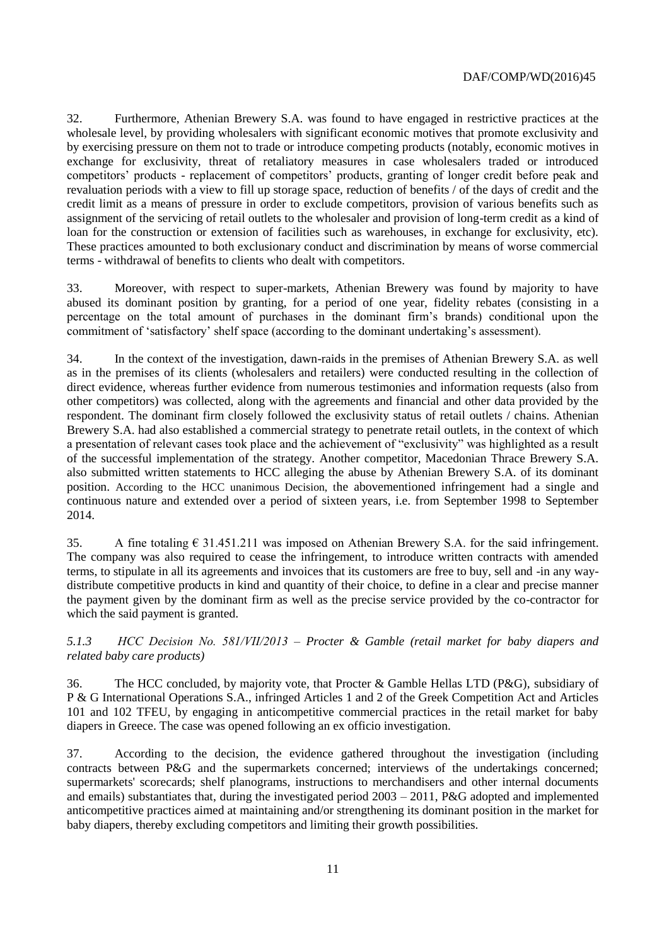32. Furthermore, Athenian Brewery S.A. was found to have engaged in restrictive practices at the wholesale level, by providing wholesalers with significant economic motives that promote exclusivity and by exercising pressure on them not to trade or introduce competing products (notably, economic motives in exchange for exclusivity, threat of retaliatory measures in case wholesalers traded or introduced competitors' products - replacement of competitors' products, granting of longer credit before peak and revaluation periods with a view to fill up storage space, reduction of benefits / of the days of credit and the credit limit as a means of pressure in order to exclude competitors, provision of various benefits such as assignment of the servicing of retail outlets to the wholesaler and provision of long-term credit as a kind of loan for the construction or extension of facilities such as warehouses, in exchange for exclusivity, etc). These practices amounted to both exclusionary conduct and discrimination by means of worse commercial terms - withdrawal of benefits to clients who dealt with competitors.

33. Moreover, with respect to super-markets, Athenian Brewery was found by majority to have abused its dominant position by granting, for a period of one year, fidelity rebates (consisting in a percentage on the total amount of purchases in the dominant firm's brands) conditional upon the commitment of 'satisfactory' shelf space (according to the dominant undertaking's assessment).

34. In the context of the investigation, dawn-raids in the premises of Athenian Brewery S.A. as well as in the premises of its clients (wholesalers and retailers) were conducted resulting in the collection of direct evidence, whereas further evidence from numerous testimonies and information requests (also from other competitors) was collected, along with the agreements and financial and other data provided by the respondent. The dominant firm closely followed the exclusivity status of retail outlets / chains. Athenian Brewery S.A. had also established a commercial strategy to penetrate retail outlets, in the context of which a presentation of relevant cases took place and the achievement of "exclusivity" was highlighted as a result of the successful implementation of the strategy. Another competitor, Macedonian Thrace Brewery S.A. also submitted written statements to HCC alleging the abuse by Athenian Brewery S.A. of its dominant position. According to the HCC unanimous Decision, the abovementioned infringement had a single and continuous nature and extended over a period of sixteen years, i.e. from September 1998 to September 2014.

35. A fine totaling  $\epsilon$  31.451.211 was imposed on Athenian Brewery S.A. for the said infringement. The company was also required to cease the infringement, to introduce written contracts with amended terms, to stipulate in all its agreements and invoices that its customers are free to buy, sell and -in any waydistribute competitive products in kind and quantity of their choice, to define in a clear and precise manner the payment given by the dominant firm as well as the precise service provided by the co-contractor for which the said payment is granted.

### *5.1.3 HCC Decision No. 581/VΙI/2013 – Procter & Gamble (retail market for baby diapers and related baby care products)*

36. The HCC concluded, by majority vote, that Procter & Gamble Hellas LTD (P&G), subsidiary of P & G International Operations S.A., infringed Articles 1 and 2 of the Greek Competition Act and Articles 101 and 102 TFEU, by engaging in anticompetitive commercial practices in the retail market for baby diapers in Greece. The case was opened following an ex officio investigation.

37. According to the decision, the evidence gathered throughout the investigation (including contracts between P&G and the supermarkets concerned; interviews of the undertakings concerned; supermarkets' scorecards; shelf planograms, instructions to merchandisers and other internal documents and emails) substantiates that, during the investigated period 2003 – 2011, P&G adopted and implemented anticompetitive practices aimed at maintaining and/or strengthening its dominant position in the market for baby diapers, thereby excluding competitors and limiting their growth possibilities.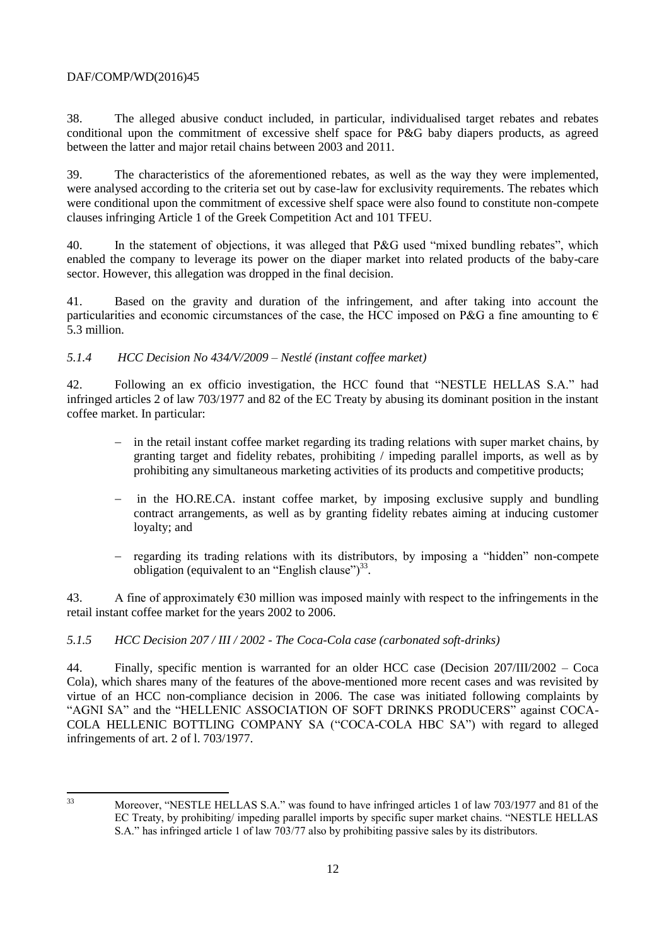38. The alleged abusive conduct included, in particular, individualised target rebates and rebates conditional upon the commitment of excessive shelf space for P&G baby diapers products, as agreed between the latter and major retail chains between 2003 and 2011.

39. The characteristics of the aforementioned rebates, as well as the way they were implemented, were analysed according to the criteria set out by case-law for exclusivity requirements. The rebates which were conditional upon the commitment of excessive shelf space were also found to constitute non-compete clauses infringing Article 1 of the Greek Competition Act and 101 TFEU.

40. In the statement of objections, it was alleged that P&G used "mixed bundling rebates", which enabled the company to leverage its power on the diaper market into related products of the baby-care sector. However, this allegation was dropped in the final decision.

41. Based on the gravity and duration of the infringement, and after taking into account the particularities and economic circumstances of the case, the HCC imposed on P&G a fine amounting to  $\epsilon$ 5.3 million.

## *5.1.4 HCC Decision No 434/V/2009 – Nestlé (instant coffee market)*

42. Following an ex officio investigation, the HCC found that "NESTLE HELLAS S.A." had infringed articles 2 of law 703/1977 and 82 of the EC Treaty by abusing its dominant position in the instant coffee market. In particular:

- in the retail instant coffee market regarding its trading relations with super market chains, by granting target and fidelity rebates, prohibiting / impeding parallel imports, as well as by prohibiting any simultaneous marketing activities of its products and competitive products;
- in the HO.RE.CA. instant coffee market, by imposing exclusive supply and bundling contract arrangements, as well as by granting fidelity rebates aiming at inducing customer loyalty; and
- regarding its trading relations with its distributors, by imposing a "hidden" non-compete obligation (equivalent to an "English clause") $^{33}$ .

43. A fine of approximately €30 million was imposed mainly with respect to the infringements in the retail instant coffee market for the years 2002 to 2006.

# *5.1.5 HCC Decision 207 / III / 2002 - The Coca-Cola case (carbonated soft-drinks)*

44. Finally, specific mention is warranted for an older HCC case (Decision 207/III/2002 – Coca Cola), which shares many of the features of the above-mentioned more recent cases and was revisited by virtue of an HCC non-compliance decision in 2006. The case was initiated following complaints by "AGNI SA" and the "HELLENIC ASSOCIATION OF SOFT DRINKS PRODUCERS" against COCA-COLA HELLENIC BOTTLING COMPANY SA ("COCA-COLA HBC SA") with regard to alleged infringements of art. 2 of l. 703/1977.

 $33$ 

Moreover, "NESTLE HELLAS S.A." was found to have infringed articles 1 of law 703/1977 and 81 of the EC Treaty, by prohibiting/ impeding parallel imports by specific super market chains. "NESTLE HELLAS S.A." has infringed article 1 of law 703/77 also by prohibiting passive sales by its distributors.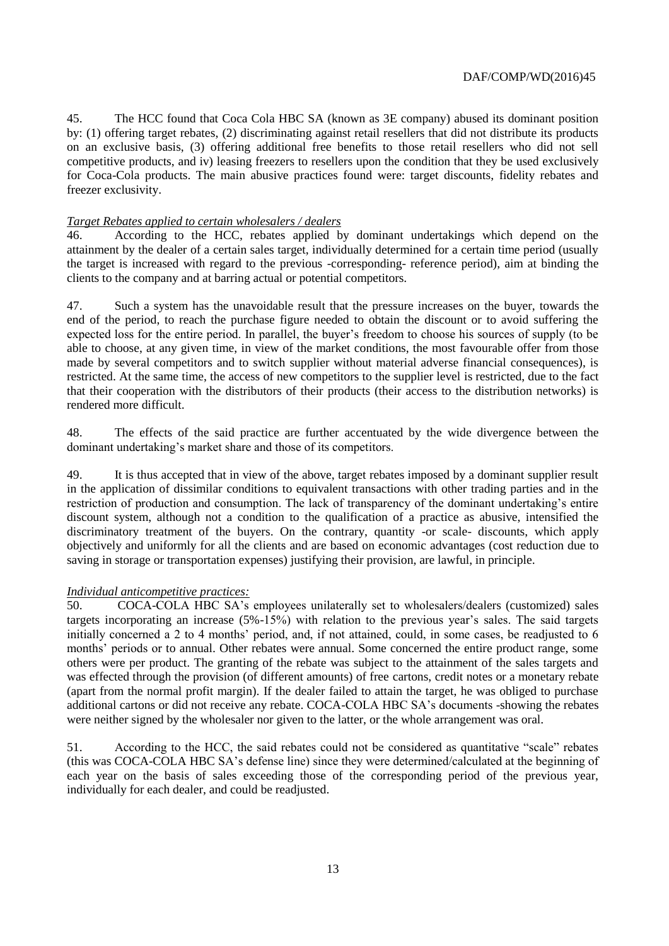45. The HCC found that Coca Cola HBC SA (known as 3E company) abused its dominant position by: (1) offering target rebates, (2) discriminating against retail resellers that did not distribute its products on an exclusive basis, (3) offering additional free benefits to those retail resellers who did not sell competitive products, and iv) leasing freezers to resellers upon the condition that they be used exclusively for Coca-Cola products. The main abusive practices found were: target discounts, fidelity rebates and freezer exclusivity.

#### *Target Rebates applied to certain wholesalers / dealers*

46. According to the HCC, rebates applied by dominant undertakings which depend on the attainment by the dealer of a certain sales target, individually determined for a certain time period (usually the target is increased with regard to the previous -corresponding- reference period), aim at binding the clients to the company and at barring actual or potential competitors.

47. Such a system has the unavoidable result that the pressure increases on the buyer, towards the end of the period, to reach the purchase figure needed to obtain the discount or to avoid suffering the expected loss for the entire period. In parallel, the buyer's freedom to choose his sources of supply (to be able to choose, at any given time, in view of the market conditions, the most favourable offer from those made by several competitors and to switch supplier without material adverse financial consequences), is restricted. At the same time, the access of new competitors to the supplier level is restricted, due to the fact that their cooperation with the distributors of their products (their access to the distribution networks) is rendered more difficult.

48. The effects of the said practice are further accentuated by the wide divergence between the dominant undertaking's market share and those of its competitors.

49. It is thus accepted that in view of the above, target rebates imposed by a dominant supplier result in the application of dissimilar conditions to equivalent transactions with other trading parties and in the restriction of production and consumption. The lack of transparency of the dominant undertaking's entire discount system, although not a condition to the qualification of a practice as abusive, intensified the discriminatory treatment of the buyers. On the contrary, quantity -or scale- discounts, which apply objectively and uniformly for all the clients and are based on economic advantages (cost reduction due to saving in storage or transportation expenses) justifying their provision, are lawful, in principle.

## *Individual anticompetitive practices:*

50. COCA-COLA HBC SA's employees unilaterally set to wholesalers/dealers (customized) sales targets incorporating an increase (5%-15%) with relation to the previous year's sales. The said targets initially concerned a 2 to 4 months' period, and, if not attained, could, in some cases, be readjusted to 6 months' periods or to annual. Other rebates were annual. Some concerned the entire product range, some others were per product. The granting of the rebate was subject to the attainment of the sales targets and was effected through the provision (of different amounts) of free cartons, credit notes or a monetary rebate (apart from the normal profit margin). If the dealer failed to attain the target, he was obliged to purchase additional cartons or did not receive any rebate. COCA-COLA HBC SA's documents -showing the rebates were neither signed by the wholesaler nor given to the latter, or the whole arrangement was oral.

51. According to the HCC, the said rebates could not be considered as quantitative "scale" rebates (this was COCA-COLA HBC SA's defense line) since they were determined/calculated at the beginning of each year on the basis of sales exceeding those of the corresponding period of the previous year, individually for each dealer, and could be readjusted.